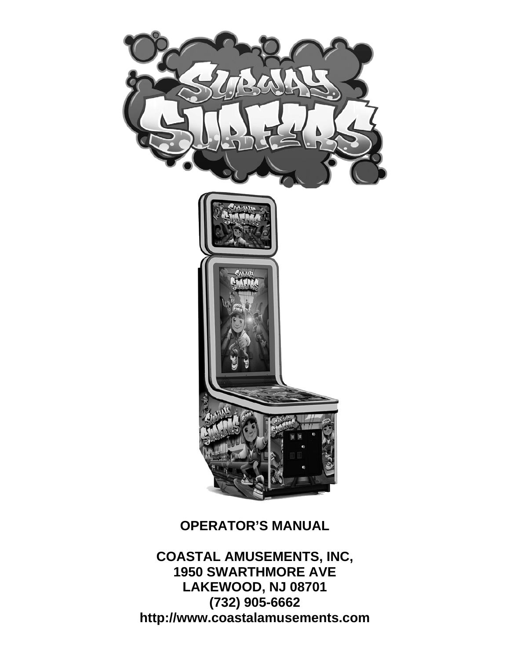

#### **OPERATOR'S MANUAL**

**COASTAL AMUSEMENTS, INC, 1950 SWARTHMORE AVE LAKEWOOD, NJ 08701 (732) 905-6662 http://www.coastalamusements.com**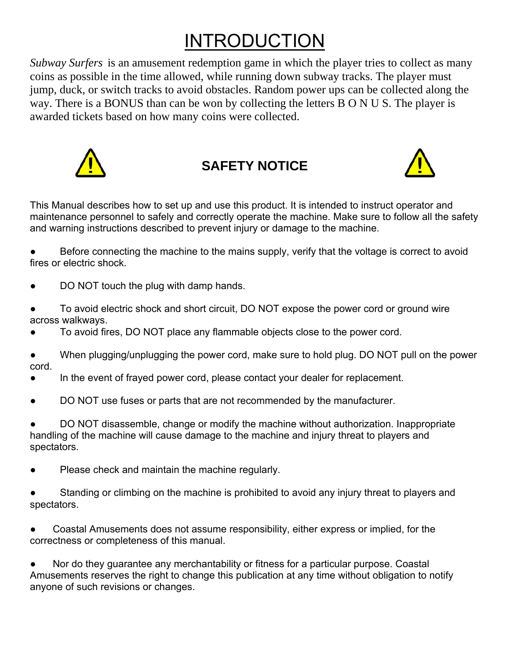# INTRODUCTION

*Subway Surfers* is an amusement redemption game in which the player tries to collect as many coins as possible in the time allowed, while running down subway tracks. The player must jump, duck, or switch tracks to avoid obstacles. Random power ups can be collected along the way. There is a BONUS than can be won by collecting the letters B O N U S. The player is awarded tickets based on how many coins were collected.



### **SAFETY NOTICE**



This Manual describes how to set up and use this product. It is intended to instruct operator and maintenance personnel to safely and correctly operate the machine. Make sure to follow all the safety and warning instructions described to prevent injury or damage to the machine.

Before connecting the machine to the mains supply, verify that the voltage is correct to avoid fires or electric shock.

- DO NOT touch the plug with damp hands.
- To avoid electric shock and short circuit, DO NOT expose the power cord or ground wire across walkways.
- To avoid fires, DO NOT place any flammable objects close to the power cord.
- When plugging/unplugging the power cord, make sure to hold plug. DO NOT pull on the power cord.
- In the event of frayed power cord, please contact your dealer for replacement.
- DO NOT use fuses or parts that are not recommended by the manufacturer.

DO NOT disassemble, change or modify the machine without authorization. Inappropriate handling of the machine will cause damage to the machine and injury threat to players and spectators.

- Please check and maintain the machine regularly.
- Standing or climbing on the machine is prohibited to avoid any injury threat to players and spectators.
- Coastal Amusements does not assume responsibility, either express or implied, for the correctness or completeness of this manual.

Nor do they guarantee any merchantability or fitness for a particular purpose. Coastal Amusements reserves the right to change this publication at any time without obligation to notify anyone of such revisions or changes.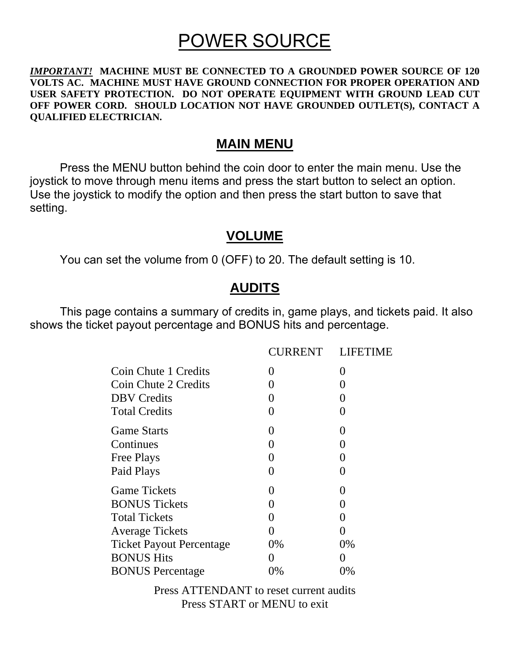## POWER SOURCE

#### *IMPORTANT!* **MACHINE MUST BE CONNECTED TO A GROUNDED POWER SOURCE OF 120 VOLTS AC. MACHINE MUST HAVE GROUND CONNECTION FOR PROPER OPERATION AND USER SAFETY PROTECTION. DO NOT OPERATE EQUIPMENT WITH GROUND LEAD CUT OFF POWER CORD. SHOULD LOCATION NOT HAVE GROUNDED OUTLET(S), CONTACT A QUALIFIED ELECTRICIAN.**

#### **MAIN MENU**

Press the MENU button behind the coin door to enter the main menu. Use the joystick to move through menu items and press the start button to select an option. Use the joystick to modify the option and then press the start button to save that setting.

#### **VOLUME**

You can set the volume from 0 (OFF) to 20. The default setting is 10.

#### **AUDITS**

 This page contains a summary of credits in, game plays, and tickets paid. It also shows the ticket payout percentage and BONUS hits and percentage.

|                                 | <b>CURRENT</b>    | <b>LIFETIME</b>   |
|---------------------------------|-------------------|-------------------|
| Coin Chute 1 Credits            | $\mathbf{\Omega}$ | $\mathbf{\Omega}$ |
| Coin Chute 2 Credits            | 0                 | 0                 |
| <b>DBV</b> Credits              | $\mathbf{0}$      | $\mathbf{\Omega}$ |
| <b>Total Credits</b>            | $\left( \right)$  | $\mathcal{O}$     |
| <b>Game Starts</b>              | $\left( \right)$  | $\mathbf{\Omega}$ |
| Continues                       | $\theta$          | 0                 |
| <b>Free Plays</b>               | 0                 | 0                 |
| Paid Plays                      | 0                 | 0                 |
| <b>Game Tickets</b>             | 0                 | 0                 |
| <b>BONUS Tickets</b>            | $\mathbf{0}$      | 0                 |
| <b>Total Tickets</b>            | 0                 | 0                 |
| <b>Average Tickets</b>          | 0                 | ( )               |
| <b>Ticket Payout Percentage</b> | 0%                | $0\%$             |
| <b>BONUS Hits</b>               | ( )               | 0                 |
| <b>BONUS</b> Percentage         | 0%                | 0%                |

Press ATTENDANT to reset current audits Press START or MENU to exit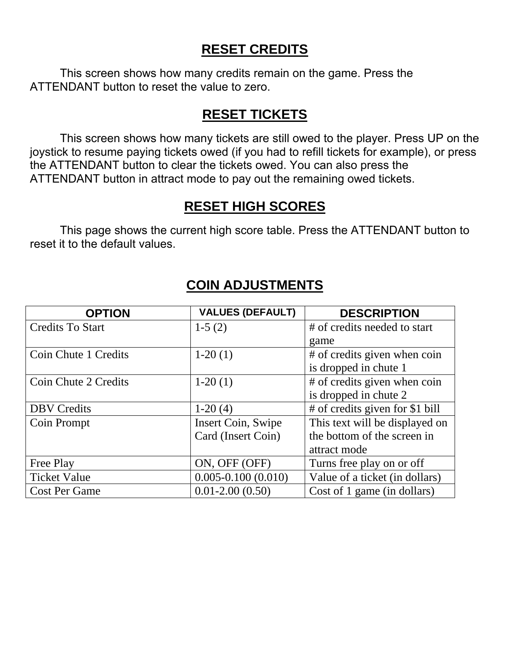#### **RESET CREDITS**

 This screen shows how many credits remain on the game. Press the ATTENDANT button to reset the value to zero.

#### **RESET TICKETS**

 This screen shows how many tickets are still owed to the player. Press UP on the joystick to resume paying tickets owed (if you had to refill tickets for example), or press the ATTENDANT button to clear the tickets owed. You can also press the ATTENDANT button in attract mode to pay out the remaining owed tickets.

#### **RESET HIGH SCORES**

 This page shows the current high score table. Press the ATTENDANT button to reset it to the default values.

| <b>OPTION</b>           | <b>VALUES (DEFAULT)</b> | <b>DESCRIPTION</b>              |
|-------------------------|-------------------------|---------------------------------|
| <b>Credits To Start</b> | $1-5(2)$                | # of credits needed to start    |
|                         |                         | game                            |
| Coin Chute 1 Credits    | $1-20(1)$               | # of credits given when coin    |
|                         |                         | is dropped in chute 1           |
| Coin Chute 2 Credits    | $1-20(1)$               | # of credits given when coin    |
|                         |                         | is dropped in chute 2           |
| <b>DBV</b> Credits      | $1-20(4)$               | # of credits given for \$1 bill |
| <b>Coin Prompt</b>      | Insert Coin, Swipe      | This text will be displayed on  |
|                         | Card (Insert Coin)      | the bottom of the screen in     |
|                         |                         | attract mode                    |
| Free Play               | ON, OFF (OFF)           | Turns free play on or off       |
| <b>Ticket Value</b>     | $0.005 - 0.100(0.010)$  | Value of a ticket (in dollars)  |
| <b>Cost Per Game</b>    | $0.01 - 2.00(0.50)$     | Cost of 1 game (in dollars)     |

#### **COIN ADJUSTMENTS**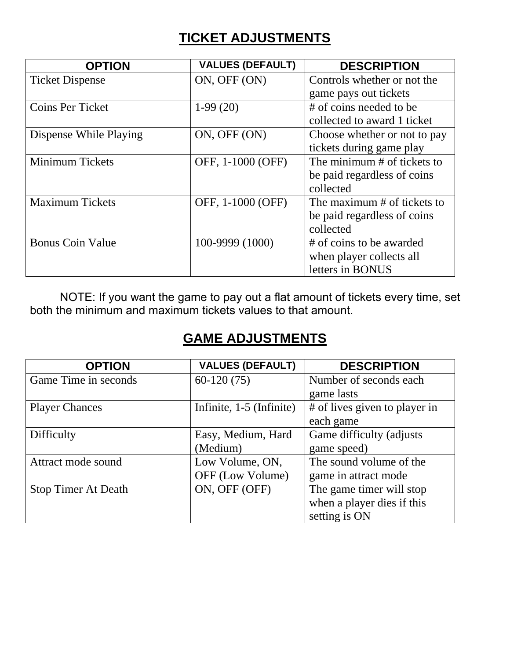#### **TICKET ADJUSTMENTS**

| <b>OPTION</b>           | <b>VALUES (DEFAULT)</b> | <b>DESCRIPTION</b>           |
|-------------------------|-------------------------|------------------------------|
| <b>Ticket Dispense</b>  | ON, OFF (ON)            | Controls whether or not the  |
|                         |                         | game pays out tickets        |
| <b>Coins Per Ticket</b> | $1-99(20)$              | # of coins needed to be      |
|                         |                         | collected to award 1 ticket  |
| Dispense While Playing  | ON, OFF (ON)            | Choose whether or not to pay |
|                         |                         | tickets during game play     |
| <b>Minimum Tickets</b>  | OFF, 1-1000 (OFF)       | The minimum # of tickets to  |
|                         |                         | be paid regardless of coins  |
|                         |                         | collected                    |
| <b>Maximum Tickets</b>  | OFF, 1-1000 (OFF)       | The maximum # of tickets to  |
|                         |                         | be paid regardless of coins  |
|                         |                         | collected                    |
| <b>Bonus Coin Value</b> | 100-9999 (1000)         | # of coins to be awarded     |
|                         |                         | when player collects all     |
|                         |                         | letters in BONUS             |

 NOTE: If you want the game to pay out a flat amount of tickets every time, set both the minimum and maximum tickets values to that amount.

#### **GAME ADJUSTMENTS**

| <b>OPTION</b>              | <b>VALUES (DEFAULT)</b>             | <b>DESCRIPTION</b>                                                      |
|----------------------------|-------------------------------------|-------------------------------------------------------------------------|
| Game Time in seconds       | $60-120(75)$                        | Number of seconds each<br>game lasts                                    |
| <b>Player Chances</b>      | Infinite, 1-5 (Infinite)            | # of lives given to player in<br>each game                              |
| Difficulty                 | Easy, Medium, Hard<br>(Medium)      | Game difficulty (adjusts<br>game speed)                                 |
| Attract mode sound         | Low Volume, ON,<br>OFF (Low Volume) | The sound volume of the<br>game in attract mode                         |
| <b>Stop Timer At Death</b> | ON, OFF (OFF)                       | The game timer will stop<br>when a player dies if this<br>setting is ON |